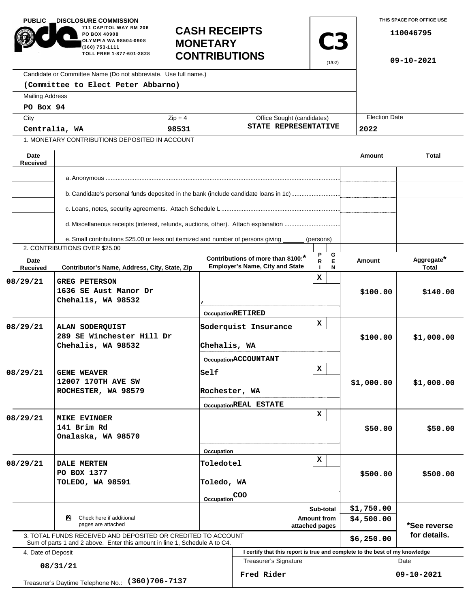| <b>PUBLIC</b><br><b>.DISCLOSURE COMMISSION</b><br>711 CAPITOL WAY RM 206<br>PO BOX 40908<br>OLYMPIA WA 98504-0908<br>(360) 753-1111<br>TOLL FREE 1-877-601-2828<br>Candidate or Committee Name (Do not abbreviate. Use full name.) |                                                                                                                                            | <b>MONETARY</b>          | <b>CASH RECEIPTS</b><br><b>C3</b><br><b>CONTRIBUTIONS</b>                    |             |                      | THIS SPACE FOR OFFICE USE<br>110046795<br>09-10-2021 |  |
|------------------------------------------------------------------------------------------------------------------------------------------------------------------------------------------------------------------------------------|--------------------------------------------------------------------------------------------------------------------------------------------|--------------------------|------------------------------------------------------------------------------|-------------|----------------------|------------------------------------------------------|--|
|                                                                                                                                                                                                                                    | (Committee to Elect Peter Abbarno)                                                                                                         |                          |                                                                              |             |                      |                                                      |  |
| <b>Mailing Address</b>                                                                                                                                                                                                             |                                                                                                                                            |                          |                                                                              |             |                      |                                                      |  |
| PO Box 94                                                                                                                                                                                                                          |                                                                                                                                            |                          |                                                                              |             |                      |                                                      |  |
| City                                                                                                                                                                                                                               |                                                                                                                                            | $Zip + 4$                | Office Sought (candidates)                                                   |             | <b>Election Date</b> |                                                      |  |
| Centralia, WA                                                                                                                                                                                                                      |                                                                                                                                            | 98531                    | STATE REPRESENTATIVE                                                         |             | 2022                 |                                                      |  |
|                                                                                                                                                                                                                                    | 1. MONETARY CONTRIBUTIONS DEPOSITED IN ACCOUNT                                                                                             |                          |                                                                              |             |                      |                                                      |  |
| Date<br><b>Received</b>                                                                                                                                                                                                            |                                                                                                                                            |                          |                                                                              |             | Amount               | <b>Total</b>                                         |  |
|                                                                                                                                                                                                                                    |                                                                                                                                            |                          |                                                                              |             |                      |                                                      |  |
|                                                                                                                                                                                                                                    |                                                                                                                                            |                          |                                                                              |             |                      |                                                      |  |
|                                                                                                                                                                                                                                    | b. Candidate's personal funds deposited in the bank (include candidate loans in 1c)                                                        |                          |                                                                              |             |                      |                                                      |  |
|                                                                                                                                                                                                                                    | d. Miscellaneous receipts (interest, refunds, auctions, other). Attach explanation                                                         |                          |                                                                              |             |                      |                                                      |  |
|                                                                                                                                                                                                                                    | e. Small contributions \$25.00 or less not itemized and number of persons giving                                                           |                          |                                                                              | (persons)   |                      |                                                      |  |
|                                                                                                                                                                                                                                    | 2. CONTRIBUTIONS OVER \$25.00                                                                                                              |                          |                                                                              | G           |                      |                                                      |  |
| Date<br>Received                                                                                                                                                                                                                   | Contributor's Name, Address, City, State, Zip                                                                                              |                          | Contributions of more than \$100:*<br><b>Employer's Name, City and State</b> | E<br>R<br>N | Amount               | Aggregate*<br>Total                                  |  |
| 08/29/21                                                                                                                                                                                                                           | <b>GREG PETERSON</b><br>1636 SE Aust Manor Dr<br>Chehalis, WA 98532                                                                        |                          |                                                                              | x           | \$100.00             | \$140.00                                             |  |
|                                                                                                                                                                                                                                    |                                                                                                                                            | <b>OccupationRETIRED</b> |                                                                              | x           |                      |                                                      |  |
| 08/29/21                                                                                                                                                                                                                           | ALAN SODERQUIST<br>289 SE Winchester Hill Dr<br>Chehalis, WA 98532                                                                         |                          | Soderquist Insurance<br>Chehalis, WA                                         |             | \$100.00             | \$1,000.00                                           |  |
|                                                                                                                                                                                                                                    |                                                                                                                                            |                          | OccupationACCOUNTANT                                                         |             |                      |                                                      |  |
| 08/29/21                                                                                                                                                                                                                           | <b>GENE WEAVER</b><br>12007 170TH AVE SW<br>ROCHESTER, WA 98579                                                                            | Self                     |                                                                              | x           | \$1,000.00           | \$1,000.00                                           |  |
|                                                                                                                                                                                                                                    |                                                                                                                                            |                          | Rochester, WA<br>OccupationREAL ESTATE                                       |             |                      |                                                      |  |
|                                                                                                                                                                                                                                    |                                                                                                                                            |                          |                                                                              | x           |                      |                                                      |  |
| 08/29/21                                                                                                                                                                                                                           | <b>MIKE EVINGER</b><br>141 Brim Rd<br>Onalaska, WA 98570                                                                                   |                          |                                                                              |             | \$50.00              | \$50.00                                              |  |
|                                                                                                                                                                                                                                    |                                                                                                                                            | Occupation               |                                                                              |             |                      |                                                      |  |
| 08/29/21                                                                                                                                                                                                                           | <b>DALE MERTEN</b><br>PO BOX 1377<br>TOLEDO, WA 98591                                                                                      |                          | x<br><b>Toledotel</b><br>Toledo, WA                                          |             | \$500.00             | \$500.00                                             |  |
|                                                                                                                                                                                                                                    |                                                                                                                                            |                          |                                                                              |             |                      |                                                      |  |
|                                                                                                                                                                                                                                    |                                                                                                                                            |                          | Occupation <sup>COO</sup><br>Sub-total                                       |             |                      |                                                      |  |
| Check here if additional<br>ॺ<br>pages are attached                                                                                                                                                                                |                                                                                                                                            |                          | <b>Amount from</b><br>attached pages                                         |             |                      | *See reverse                                         |  |
|                                                                                                                                                                                                                                    | 3. TOTAL FUNDS RECEIVED AND DEPOSITED OR CREDITED TO ACCOUNT<br>Sum of parts 1 and 2 above. Enter this amount in line 1, Schedule A to C4. |                          |                                                                              |             | \$6,250.00           | for details.                                         |  |
| 4. Date of Deposit                                                                                                                                                                                                                 |                                                                                                                                            |                          | I certify that this report is true and complete to the best of my knowledge  |             |                      |                                                      |  |
| 08/31/21                                                                                                                                                                                                                           |                                                                                                                                            |                          | Treasurer's Signature                                                        |             | Date                 |                                                      |  |
|                                                                                                                                                                                                                                    | Treasurer's Daytime Telephone No.: (360) 706-7137                                                                                          |                          | Fred Rider                                                                   |             |                      | 09-10-2021                                           |  |